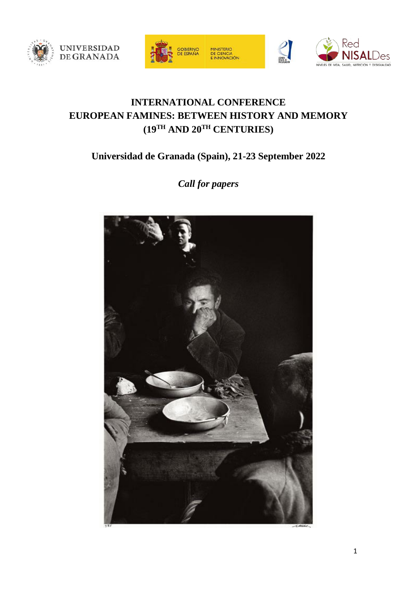





# **INTERNATIONAL CONFERENCE EUROPEAN FAMINES: BETWEEN HISTORY AND MEMORY (19TH AND 20TH CENTURIES)**

# **Universidad de Granada (Spain), 21-23 September 2022**

*Call for papers*

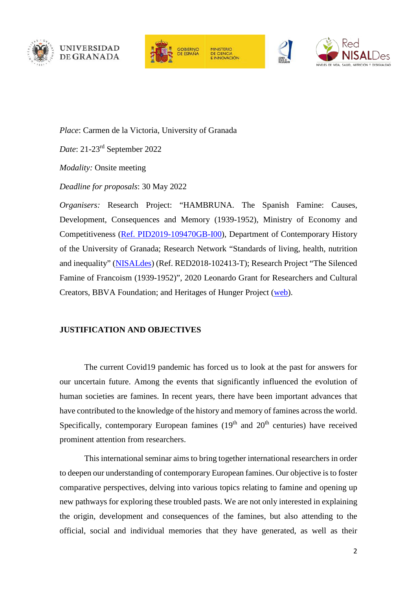





MINICTERIO MINISTERIO<br>DE CIENCIA<br>E INNOVACIÓN





*Place*: Carmen de la Victoria, University of Granada

*Date*: 21-23rd September 2022

*Modality:* Onsite meeting

*Deadline for proposals*: 30 May 2022

*Organisers:* Research Project: "HAMBRUNA. The Spanish Famine: Causes, Development, Consequences and Memory (1939-1952), Ministry of Economy and Competitiveness (Ref. [PID2019-109470GB-I00\)](https://www.hambrunafranquismo.es/), Department of Contemporary History of the University of Granada; Research Network "Standards of living, health, nutrition and inequality" [\(NISALdes\)](https://rednisaldes.es/) (Ref. RED2018-102413-T); Research Project "The Silenced Famine of Francoism (1939-1952)", 2020 Leonardo Grant for Researchers and Cultural Creators, BBVA Foundation; and Heritages of Hunger Project [\(web\)](https://www.ru.nl/rich/our-research/research-groups/transnational-europe/current-projects/projects/project-heritages-hunger/).

#### **JUSTIFICATION AND OBJECTIVES**

The current Covid19 pandemic has forced us to look at the past for answers for our uncertain future. Among the events that significantly influenced the evolution of human societies are famines. In recent years, there have been important advances that have contributed to the knowledge of the history and memory of famines across the world. Specifically, contemporary European famines  $(19<sup>th</sup>$  and  $20<sup>th</sup>$  centuries) have received prominent attention from researchers.

This international seminar aims to bring together international researchers in order to deepen our understanding of contemporary European famines. Our objective is to foster comparative perspectives, delving into various topics relating to famine and opening up new pathways for exploring these troubled pasts. We are not only interested in explaining the origin, development and consequences of the famines, but also attending to the official, social and individual memories that they have generated, as well as their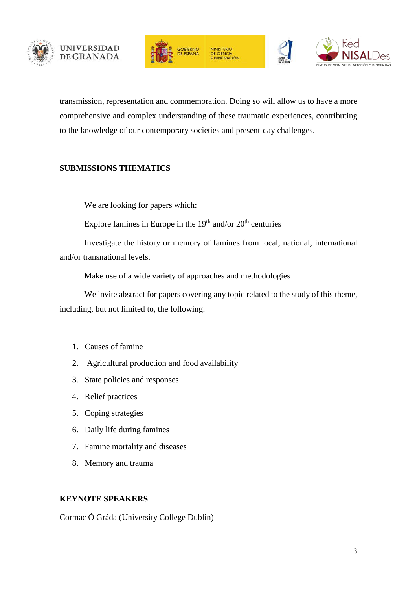



**HINICTERIO** E CIENCIA<br>INNOVACIÓN



transmission, representation and commemoration. Doing so will allow us to have a more comprehensive and complex understanding of these traumatic experiences, contributing to the knowledge of our contemporary societies and present-day challenges.

### **SUBMISSIONS THEMATICS**

We are looking for papers which:

Explore famines in Europe in the  $19<sup>th</sup>$  and/or  $20<sup>th</sup>$  centuries

Investigate the history or memory of famines from local, national, international and/or transnational levels.

Make use of a wide variety of approaches and methodologies

We invite abstract for papers covering any topic related to the study of this theme, including, but not limited to, the following:

- 1. Causes of famine
- 2. Agricultural production and food availability
- 3. State policies and responses
- 4. Relief practices
- 5. Coping strategies
- 6. Daily life during famines
- 7. Famine mortality and diseases
- 8. Memory and trauma

#### **KEYNOTE SPEAKERS**

Cormac Ó Gráda (University College Dublin)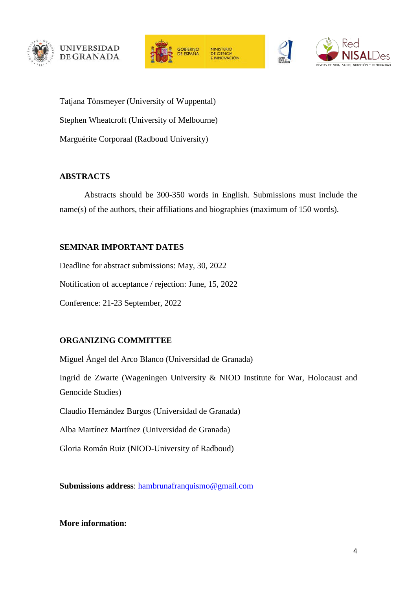





Tatjana Tönsmeyer (University of Wuppental) Stephen Wheatcroft (University of Melbourne) Marguérite Corporaal (Radboud University)

### **ABSTRACTS**

Abstracts should be 300-350 words in English. Submissions must include the name(s) of the authors, their affiliations and biographies (maximum of 150 words).

## **SEMINAR IMPORTANT DATES**

Deadline for abstract submissions: May, 30, 2022 Notification of acceptance / rejection: June, 15, 2022 Conference: 21-23 September, 2022

## **ORGANIZING COMMITTEE**

Miguel Ángel del Arco Blanco (Universidad de Granada) Ingrid de Zwarte (Wageningen University & NIOD Institute for War, Holocaust and Genocide Studies) Claudio Hernández Burgos (Universidad de Granada)

Alba Martínez Martínez (Universidad de Granada)

Gloria Román Ruiz (NIOD-University of Radboud)

**Submissions address**: [hambrunafranquismo@gmail.com](mailto:hambrunafranquismo@gmail.com)

**More information:**